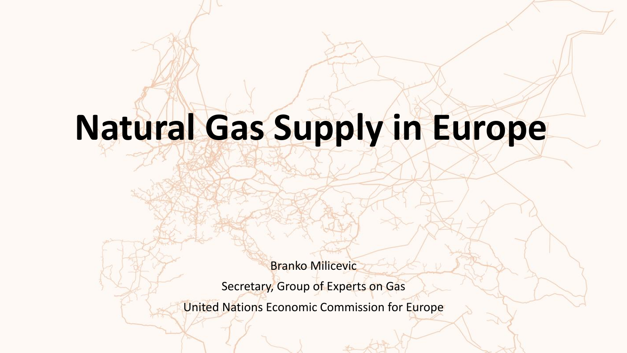# **Natural Gas Supply in Europe**

Branko Milicevic

Secretary, Group of Experts on Gas

United Nations Economic Commission for Europe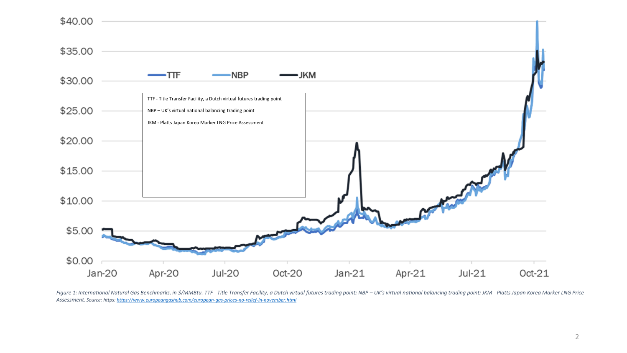

Figure 1: International Natural Gas Benchmarks, in \$/MMBtu. TTF - Title Transfer Facility, a Dutch virtual futures trading point; NBP - UK's virtual national balancing trading point; JKM - Platts Japan Korea Marker LNG Pri *Assessment. Source: https: <https://www.europeangashub.com/european-gas-prices-no-relief-in-november.html>*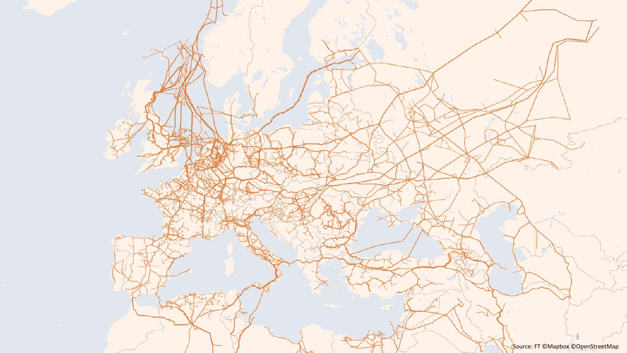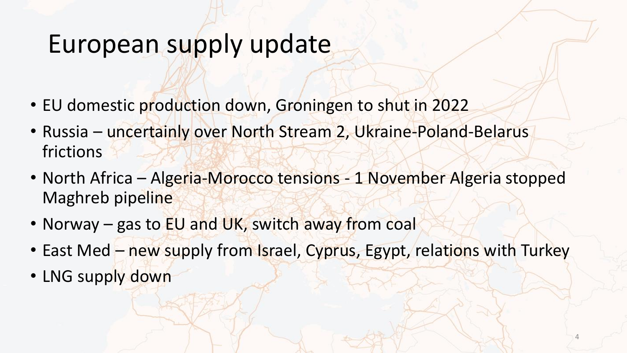## European supply update

- EU domestic production down, Groningen to shut in 2022
- Russia uncertainly over North Stream 2, Ukraine-Poland-Belarus frictions
- North Africa Algeria-Morocco tensions 1 November Algeria stopped Maghreb pipeline
- Norway gas to EU and UK, switch away from coal
- East Med new supply from Israel, Cyprus, Egypt, relations with Turkey
- LNG supply down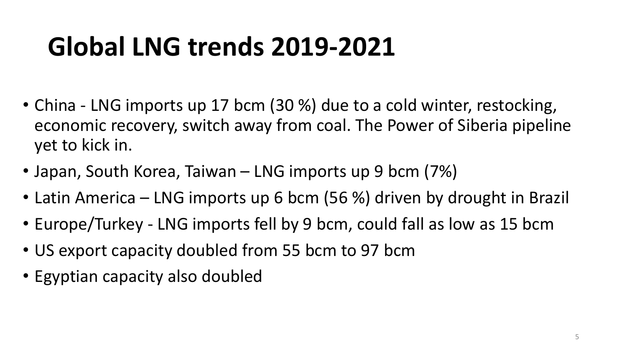# **Global LNG trends 2019-2021**

- China LNG imports up 17 bcm (30 %) due to a cold winter, restocking, economic recovery, switch away from coal. The Power of Siberia pipeline yet to kick in.
- Japan, South Korea, Taiwan LNG imports up 9 bcm (7%)
- Latin America LNG imports up 6 bcm (56 %) driven by drought in Brazil
- Europe/Turkey LNG imports fell by 9 bcm, could fall as low as 15 bcm
- US export capacity doubled from 55 bcm to 97 bcm
- Egyptian capacity also doubled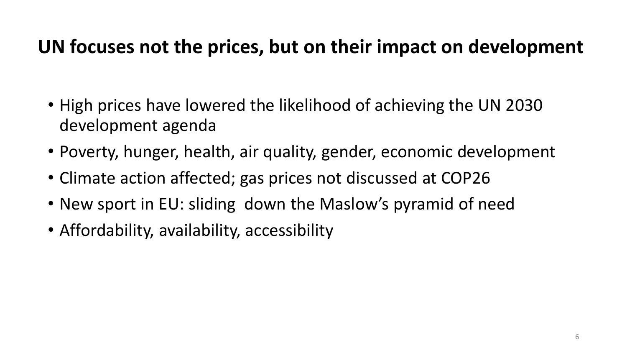#### **UN focuses not the prices, but on their impact on development**

- High prices have lowered the likelihood of achieving the UN 2030 development agenda
- Poverty, hunger, health, air quality, gender, economic development
- Climate action affected; gas prices not discussed at COP26
- New sport in EU: sliding down the Maslow's pyramid of need
- Affordability, availability, accessibility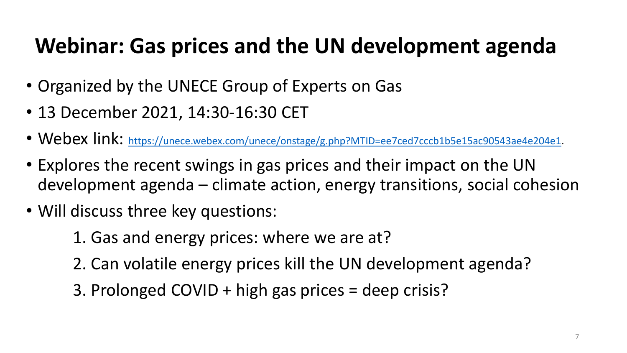### **Webinar: Gas prices and the UN development agenda**

- Organized by the UNECE Group of Experts on Gas
- 13 December 2021, 14:30-16:30 CET
- Webex link: [https://unece.webex.com/unece/onstage/g.php?MTID=ee7ced7cccb1b5e15ac90543ae4e204e1.](https://unece.webex.com/unece/onstage/g.php?MTID=ee7ced7cccb1b5e15ac90543ae4e204e1)
- Explores the recent swings in gas prices and their impact on the UN development agenda – climate action, energy transitions, social cohesion
- Will discuss three key questions:
	- 1. Gas and energy prices: where we are at?
	- 2. Can volatile energy prices kill the UN development agenda?
	- 3. Prolonged COVID + high gas prices = deep crisis?